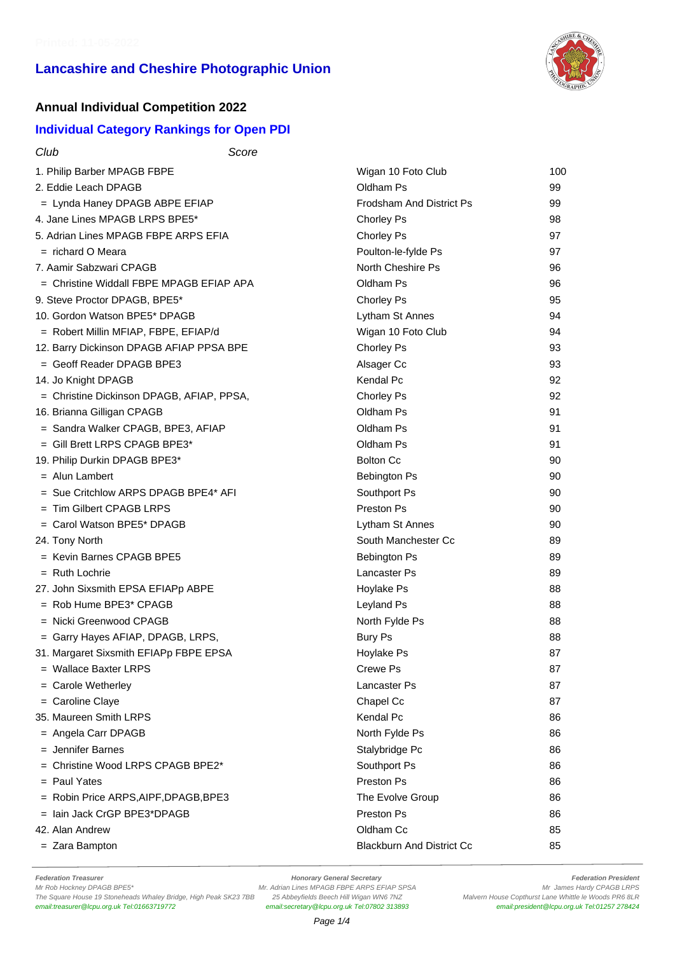

#### **Annual Individual Competition 2022**

#### **Individual Category Rankings for Open PDI**

| Club<br>Score                             |                                  |     |
|-------------------------------------------|----------------------------------|-----|
| 1. Philip Barber MPAGB FBPE               | Wigan 10 Foto Club               | 100 |
| 2. Eddie Leach DPAGB                      | Oldham Ps                        | 99  |
| = Lynda Haney DPAGB ABPE EFIAP            | <b>Frodsham And District Ps</b>  | 99  |
| 4. Jane Lines MPAGB LRPS BPE5*            | Chorley Ps                       | 98  |
| 5. Adrian Lines MPAGB FBPE ARPS EFIA      | Chorley Ps                       | 97  |
| $=$ richard O Meara                       | Poulton-le-fylde Ps              | 97  |
| 7. Aamir Sabzwari CPAGB                   | North Cheshire Ps                | 96  |
| = Christine Widdall FBPE MPAGB EFIAP APA  | Oldham Ps                        | 96  |
| 9. Steve Proctor DPAGB, BPE5*             | Chorley Ps                       | 95  |
| 10. Gordon Watson BPE5* DPAGB             | Lytham St Annes                  | 94  |
| = Robert Millin MFIAP, FBPE, EFIAP/d      | Wigan 10 Foto Club               | 94  |
| 12. Barry Dickinson DPAGB AFIAP PPSA BPE  | Chorley Ps                       | 93  |
| = Geoff Reader DPAGB BPE3                 | Alsager Cc                       | 93  |
| 14. Jo Knight DPAGB                       | <b>Kendal Pc</b>                 | 92  |
| = Christine Dickinson DPAGB, AFIAP, PPSA, | Chorley Ps                       | 92  |
| 16. Brianna Gilligan CPAGB                | Oldham Ps                        | 91  |
| = Sandra Walker CPAGB, BPE3, AFIAP        | Oldham Ps                        | 91  |
| $=$ Gill Brett LRPS CPAGB BPE3*           | Oldham Ps                        | 91  |
| 19. Philip Durkin DPAGB BPE3*             | <b>Bolton Cc</b>                 | 90  |
| = Alun Lambert                            | <b>Bebington Ps</b>              | 90  |
| $=$ Sue Critchlow ARPS DPAGB BPE4* AFI    | Southport Ps                     | 90  |
| $=$ Tim Gilbert CPAGB LRPS                | Preston Ps                       | 90  |
| $=$ Carol Watson BPE5* DPAGB              | Lytham St Annes                  | 90  |
| 24. Tony North                            | South Manchester Cc              | 89  |
| = Kevin Barnes CPAGB BPE5                 | <b>Bebington Ps</b>              | 89  |
| $=$ Ruth Lochrie                          | <b>Lancaster Ps</b>              | 89  |
| 27. John Sixsmith EPSA EFIAPp ABPE        | Hoylake Ps                       | 88  |
| = Rob Hume BPE3* CPAGB                    | Leyland Ps                       | 88  |
| $=$ Nicki Greenwood CPAGB                 | North Fylde Ps                   | 88  |
| = Garry Hayes AFIAP, DPAGB, LRPS,         | <b>Bury Ps</b>                   | 88  |
| 31. Margaret Sixsmith EFIAPp FBPE EPSA    | Hovlake Ps                       | 87  |
| = Wallace Baxter LRPS                     | Crewe Ps                         | 87  |
| = Carole Wetherley                        | <b>Lancaster Ps</b>              | 87  |
| = Caroline Claye                          | Chapel Cc                        | 87  |
| 35. Maureen Smith LRPS                    | Kendal Pc                        | 86  |
| $=$ Angela Carr DPAGB                     | North Fylde Ps                   | 86  |
| $=$ Jennifer Barnes                       | Stalybridge Pc                   | 86  |
| = Christine Wood LRPS CPAGB BPE2*         | Southport Ps                     | 86  |
| $=$ Paul Yates                            | Preston Ps                       | 86  |
| = Robin Price ARPS, AIPF, DPAGB, BPE3     | The Evolve Group                 | 86  |
| $=$ lain Jack CrGP BPE3*DPAGB             | Preston Ps                       | 86  |
| 42. Alan Andrew                           | Oldham Cc                        | 85  |
| $=$ Zara Bampton                          | <b>Blackburn And District Cc</b> | 85  |

Federation Treasurer **Federation President**<br>Mr Adrian Lines MPAGB FBPE ARPS EFIAP SPSA **For any CHACK CHACK CHACK CHACK**<br>Mr James Hardy CPAGB LRPS M. Adrian Lines MPAGB FBPE ARPS EFIAP SPSA The Square House 19 Stoneheads Whaley Bridge, High Peak SK23 7BB 25 Abbeyfields Beech Hill Wigan WN6 7NZ Malvern House Copthurst Lane Whittle le Woods PR6 8LR<br>email:treasurer@Icpu.org.uk Tel:01663719772 email:secretary@Icp

email:secretary@lcpu.org.uk Tel:07802 313893

Mr. Adrian Lines MPAGB FBPE ARPS EFIAP SPSA Mr. Adrian Lines MPAGB ERPS<br>25 Abbeyfields Beech Hill Wigan WN6 7NZ Malvern House Copthurst Lane Whittle le Woods PR6 8LR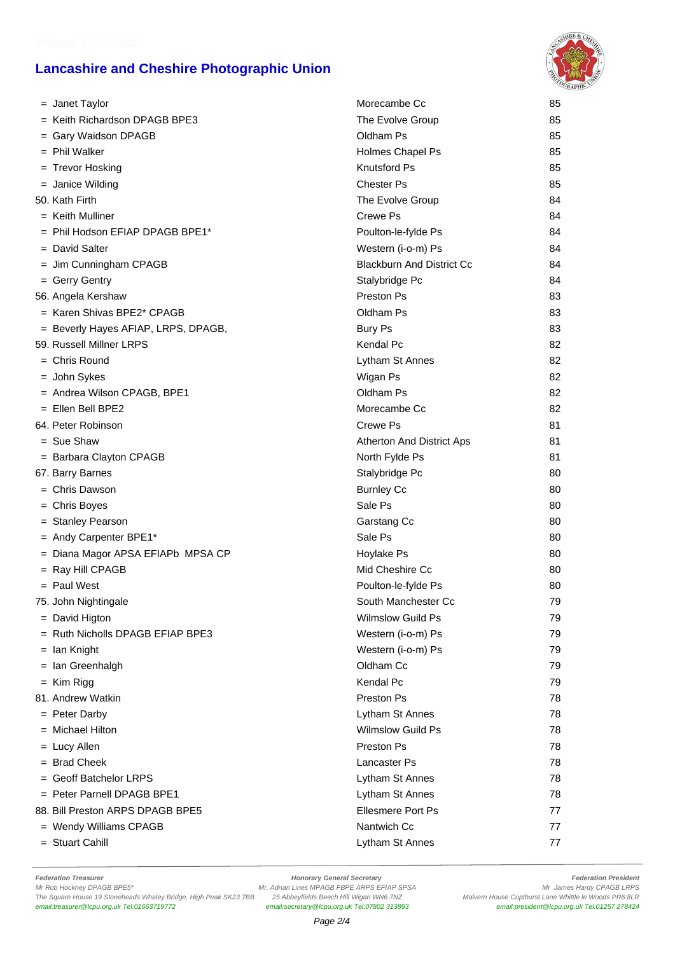

|                | = Janet Taylor                      | Morecambe Cc                     | 85 |
|----------------|-------------------------------------|----------------------------------|----|
|                | = Keith Richardson DPAGB BPE3       | The Evolve Group                 | 85 |
|                | = Gary Waidson DPAGB                | Oldham Ps                        | 85 |
|                | = Phil Walker                       | Holmes Chapel Ps                 | 85 |
|                | = Trevor Hosking                    | <b>Knutsford Ps</b>              | 85 |
|                | = Janice Wilding                    | <b>Chester Ps</b>                | 85 |
| 50. Kath Firth |                                     | The Evolve Group                 | 84 |
|                | $=$ Keith Mulliner                  | Crewe Ps                         | 84 |
|                | = Phil Hodson EFIAP DPAGB BPE1*     | Poulton-le-fylde Ps              | 84 |
|                | = David Salter                      | Western (i-o-m) Ps               | 84 |
|                | = Jim Cunningham CPAGB              | <b>Blackburn And District Cc</b> | 84 |
|                | = Gerry Gentry                      | Stalybridge Pc                   | 84 |
|                | 56. Angela Kershaw                  | Preston Ps                       | 83 |
|                | = Karen Shivas BPE2* CPAGB          | Oldham Ps                        | 83 |
|                | = Beverly Hayes AFIAP, LRPS, DPAGB, | <b>Bury Ps</b>                   | 83 |
|                | 59. Russell Millner LRPS            | Kendal Pc                        | 82 |
|                | $=$ Chris Round                     | Lytham St Annes                  | 82 |
|                | = John Sykes                        | Wigan Ps                         | 82 |
|                | = Andrea Wilson CPAGB, BPE1         | Oldham Ps                        | 82 |
|                | = Ellen Bell BPE2                   | Morecambe Cc                     | 82 |
|                | 64. Peter Robinson                  | Crewe Ps                         | 81 |
| $=$ Sue Shaw   |                                     | Atherton And District Aps        | 81 |
|                | = Barbara Clayton CPAGB             | North Fylde Ps                   | 81 |
|                | 67. Barry Barnes                    | Stalybridge Pc                   | 80 |
|                | $=$ Chris Dawson                    | <b>Burnley Cc</b>                | 80 |
|                | = Chris Boyes                       | Sale Ps                          | 80 |
|                | = Stanley Pearson                   | Garstang Cc                      | 80 |
|                | = Andy Carpenter BPE1*              | Sale Ps                          | 80 |
|                | = Diana Magor APSA EFIAPb MPSA CP   | Hoylake Ps                       | 80 |
|                | = Ray Hill CPAGB                    | Mid Cheshire Cc                  | 80 |
| $=$ Paul West  |                                     | Poulton-le-fylde Ps              | 80 |
|                | 75. John Nightingale                | South Manchester Cc              | 79 |
|                | = David Higton                      | <b>Wilmslow Guild Ps</b>         | 79 |
|                | = Ruth Nicholls DPAGB EFIAP BPE3    | Western (i-o-m) Ps               | 79 |
| $=$ Ian Knight |                                     | Western (i-o-m) Ps               | 79 |
|                | = Ian Greenhalgh                    | Oldham Cc                        | 79 |
| $=$ Kim Rigg   |                                     | Kendal Pc                        | 79 |
|                | 81. Andrew Watkin                   | Preston Ps                       | 78 |
|                | = Peter Darby                       | Lytham St Annes                  | 78 |
|                | $=$ Michael Hilton                  | <b>Wilmslow Guild Ps</b>         | 78 |
| $=$ Lucy Allen |                                     | <b>Preston Ps</b>                | 78 |
|                | = Brad Cheek                        | Lancaster Ps                     | 78 |
|                | $=$ Geoff Batchelor LRPS            | Lytham St Annes                  | 78 |
|                | = Peter Parnell DPAGB BPE1          | Lytham St Annes                  | 78 |
|                | 88. Bill Preston ARPS DPAGB BPE5    | <b>Ellesmere Port Ps</b>         | 77 |
|                | = Wendy Williams CPAGB              | Nantwich Cc                      | 77 |
|                | = Stuart Cahill                     | Lytham St Annes                  | 77 |

Federation Treasurer **Federation President**<br>Mr Rob Hockney DPAGB BPE5\* **Honorary General Secretary Honorary General Secretary Manus Adminition President**<br>Mr Rob Hockney DPAGB BPE5\* **Mr Adminition Adminition Adminition** The Square House 19 Stoneheads Whaley Bridge, High Peak SK23 7BB 25 Abbeyfields Beech Hill Wigan WN6 7NZ Malvern House Copthurst Lane Whittle le Woods PR6 8LR<br>email:treasurer@Icpu.org.uk Tel:01663719772 email:secretary@Icp email:secretary@lcpu.org.uk Tel:07802 313893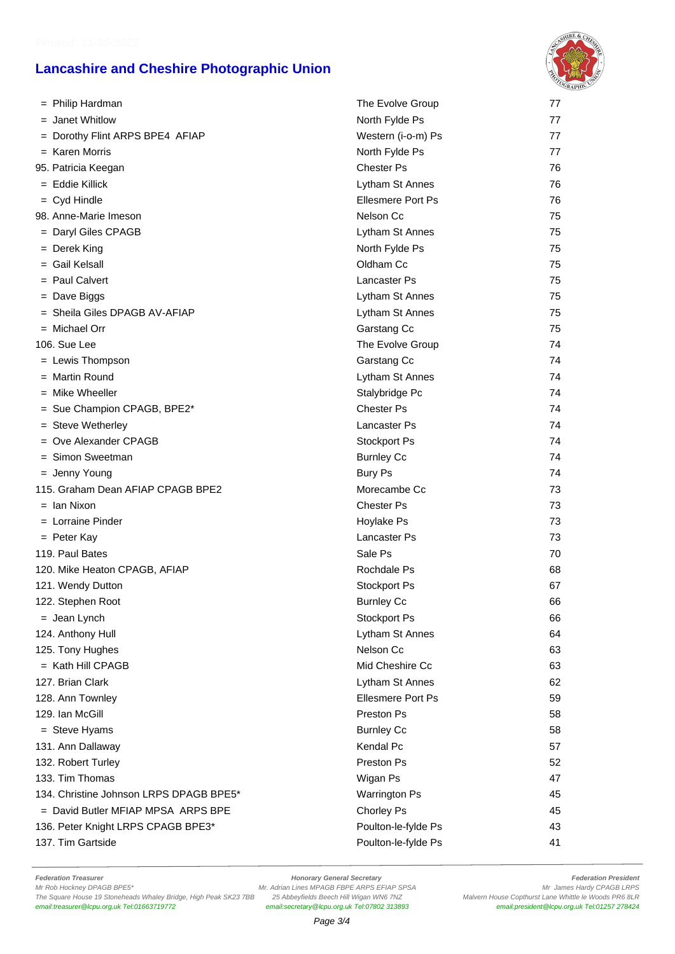

| = Philip Hardman                        | The Evolve Group         | 77 |
|-----------------------------------------|--------------------------|----|
| = Janet Whitlow                         | North Fylde Ps           | 77 |
| = Dorothy Flint ARPS BPE4 AFIAP         | Western (i-o-m) Ps       | 77 |
| $=$ Karen Morris                        | North Fylde Ps           | 77 |
| 95. Patricia Keegan                     | Chester Ps               | 76 |
| $=$ Eddie Killick                       | Lytham St Annes          | 76 |
| $=$ Cyd Hindle                          | <b>Ellesmere Port Ps</b> | 76 |
| 98. Anne-Marie Imeson                   | Nelson Cc                | 75 |
| = Daryl Giles CPAGB                     | Lytham St Annes          | 75 |
| = Derek King                            | North Fylde Ps           | 75 |
| $=$ Gail Kelsall                        | Oldham Cc                | 75 |
| = Paul Calvert                          | Lancaster Ps             | 75 |
| $=$ Dave Biggs                          | Lytham St Annes          | 75 |
| = Sheila Giles DPAGB AV-AFIAP           | Lytham St Annes          | 75 |
| $=$ Michael Orr                         | Garstang Cc              | 75 |
| 106. Sue Lee                            | The Evolve Group         | 74 |
| = Lewis Thompson                        | Garstang Cc              | 74 |
| = Martin Round                          | Lytham St Annes          | 74 |
| $=$ Mike Wheeller                       | Stalybridge Pc           | 74 |
| = Sue Champion CPAGB, BPE2*             | <b>Chester Ps</b>        | 74 |
| $=$ Steve Wetherley                     | Lancaster Ps             | 74 |
| $=$ Ove Alexander CPAGB                 | Stockport Ps             | 74 |
| = Simon Sweetman                        | <b>Burnley Cc</b>        | 74 |
| $=$ Jenny Young                         | <b>Bury Ps</b>           | 74 |
| 115. Graham Dean AFIAP CPAGB BPE2       | Morecambe Cc             | 73 |
| $=$ Ian Nixon                           | <b>Chester Ps</b>        | 73 |
| $=$ Lorraine Pinder                     | Hoylake Ps               | 73 |
| $=$ Peter Kay                           | Lancaster Ps             | 73 |
| 119. Paul Bates                         | Sale Ps                  | 70 |
| 120. Mike Heaton CPAGB, AFIAP           | Rochdale Ps              | 68 |
| 121. Wendy Dutton                       | Stockport Ps             | 67 |
| 122. Stephen Root                       | <b>Burnley Cc</b>        | 66 |
| $=$ Jean Lynch                          | Stockport Ps             | 66 |
| 124. Anthony Hull                       | Lytham St Annes          | 64 |
| 125. Tony Hughes                        | Nelson Cc                | 63 |
| $=$ Kath Hill CPAGB                     | Mid Cheshire Cc          | 63 |
| 127. Brian Clark                        | Lytham St Annes          | 62 |
| 128. Ann Townley                        | <b>Ellesmere Port Ps</b> | 59 |
| 129. Ian McGill                         | Preston Ps               | 58 |
| = Steve Hyams                           | <b>Burnley Cc</b>        | 58 |
| 131. Ann Dallaway                       | <b>Kendal Pc</b>         | 57 |
| 132. Robert Turley                      | Preston Ps               | 52 |
| 133. Tim Thomas                         | Wigan Ps                 | 47 |
| 134. Christine Johnson LRPS DPAGB BPE5* | <b>Warrington Ps</b>     | 45 |
| $=$ David Butler MFIAP MPSA ARPS BPE    | Chorley Ps               | 45 |
| 136. Peter Knight LRPS CPAGB BPE3*      | Poulton-le-fylde Ps      | 43 |
| 137. Tim Gartside                       | Poulton-le-fylde Ps      | 41 |

Federation Treasurer **Federation President**<br>Mr Rob Hockney DPAGB BPE5\* **Honorary General Secretary Honorary General Secretary Manus Adminition President**<br>Mr Rob Hockney DPAGB BPE5\* **Mr Adminition Adminition Adminition** The Square House 19 Stoneheads Whaley Bridge, High Peak SK23 7BB 25 Abbeyfields Beech Hill Wigan WN6 7NZ Malvern House Copthurst Lane Whittle le Woods PR6 8LR<br>email:treasurer@Icpu.org.uk Tel:01663719772 email:secretary@Icp

email:secretary@lcpu.org.uk Tel:07802 313893

Mr. Adrian Lines MPAGB FBPE ARPS EFIAP SPSA Mr. Adrian Lines Hardy CPAGB LRPS<br>25 Abbeyfields Beech Hill Wigan WN6 7NZ Malvern House Copthurst Lane Whittle le Woods PR6 8LR